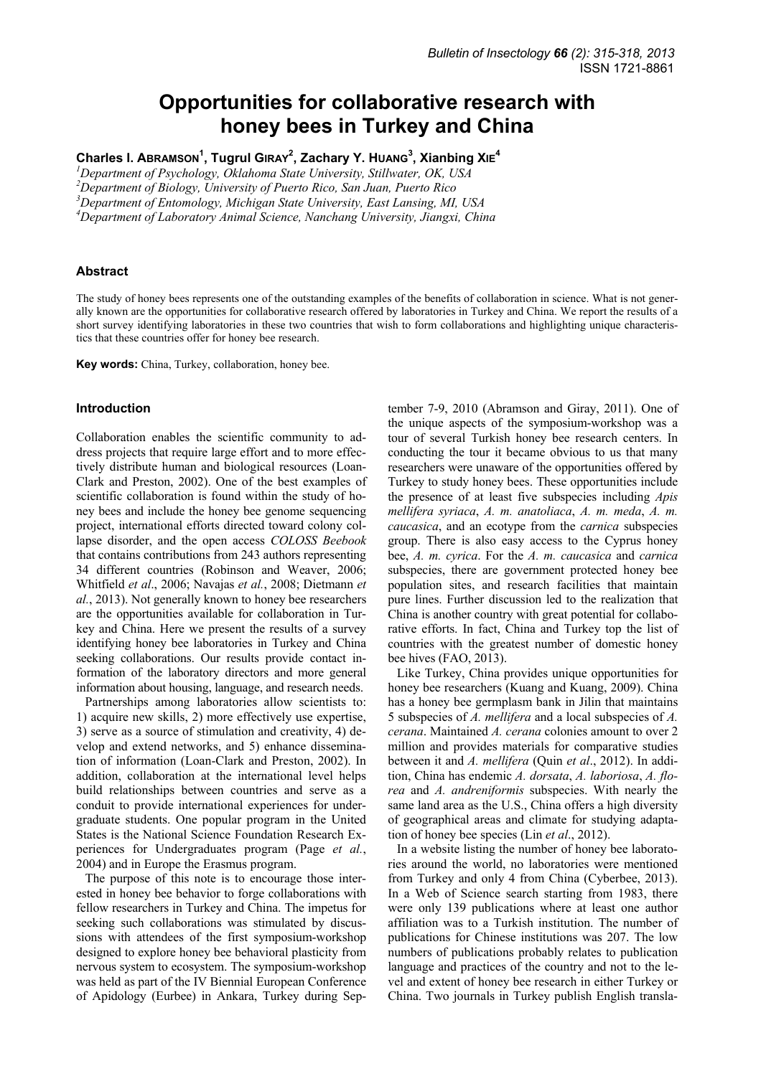# **Opportunities for collaborative research with honey bees in Turkey and China**

**Charles I. ABRAMSON<sup>1</sup> , Tugrul GIRAY<sup>2</sup> , Zachary Y. HUANG<sup>3</sup> , Xianbing XIE<sup>4</sup>**

*1 Department of Psychology, Oklahoma State University, Stillwater, OK, USA* 

*2 Department of Biology, University of Puerto Rico, San Juan, Puerto Rico* 

*3 Department of Entomology, Michigan State University, East Lansing, MI, USA* 

*4 Department of Laboratory Animal Science, Nanchang University, Jiangxi, China* 

### **Abstract**

The study of honey bees represents one of the outstanding examples of the benefits of collaboration in science. What is not generally known are the opportunities for collaborative research offered by laboratories in Turkey and China. We report the results of a short survey identifying laboratories in these two countries that wish to form collaborations and highlighting unique characteristics that these countries offer for honey bee research.

**Key words:** China, Turkey, collaboration, honey bee.

#### **Introduction**

Collaboration enables the scientific community to address projects that require large effort and to more effectively distribute human and biological resources (Loan-Clark and Preston, 2002). One of the best examples of scientific collaboration is found within the study of honey bees and include the honey bee genome sequencing project, international efforts directed toward colony collapse disorder, and the open access *COLOSS Beebook* that contains contributions from 243 authors representing 34 different countries (Robinson and Weaver, 2006; Whitfield *et al*., 2006; Navajas *et al.*, 2008; Dietmann *et al.*, 2013). Not generally known to honey bee researchers are the opportunities available for collaboration in Turkey and China. Here we present the results of a survey identifying honey bee laboratories in Turkey and China seeking collaborations. Our results provide contact information of the laboratory directors and more general information about housing, language, and research needs.

Partnerships among laboratories allow scientists to: 1) acquire new skills, 2) more effectively use expertise, 3) serve as a source of stimulation and creativity, 4) develop and extend networks, and 5) enhance dissemination of information (Loan-Clark and Preston, 2002). In addition, collaboration at the international level helps build relationships between countries and serve as a conduit to provide international experiences for undergraduate students. One popular program in the United States is the National Science Foundation Research Experiences for Undergraduates program (Page *et al.*, 2004) and in Europe the Erasmus program.

The purpose of this note is to encourage those interested in honey bee behavior to forge collaborations with fellow researchers in Turkey and China. The impetus for seeking such collaborations was stimulated by discussions with attendees of the first symposium-workshop designed to explore honey bee behavioral plasticity from nervous system to ecosystem. The symposium-workshop was held as part of the IV Biennial European Conference of Apidology (Eurbee) in Ankara, Turkey during Sep-

tember 7-9, 2010 (Abramson and Giray, 2011). One of the unique aspects of the symposium-workshop was a tour of several Turkish honey bee research centers. In conducting the tour it became obvious to us that many researchers were unaware of the opportunities offered by Turkey to study honey bees. These opportunities include the presence of at least five subspecies including *Apis mellifera syriaca*, *A. m. anatoliaca*, *A. m. meda*, *A. m. caucasica*, and an ecotype from the *carnica* subspecies group. There is also easy access to the Cyprus honey bee, *A. m. cyrica*. For the *A. m. caucasica* and *carnica* subspecies, there are government protected honey bee population sites, and research facilities that maintain pure lines. Further discussion led to the realization that China is another country with great potential for collaborative efforts. In fact, China and Turkey top the list of countries with the greatest number of domestic honey bee hives (FAO, 2013).

Like Turkey, China provides unique opportunities for honey bee researchers (Kuang and Kuang, 2009). China has a honey bee germplasm bank in Jilin that maintains 5 subspecies of *A. mellifera* and a local subspecies of *A. cerana*. Maintained *A. cerana* colonies amount to over 2 million and provides materials for comparative studies between it and *A. mellifera* (Quin *et al*., 2012). In addition, China has endemic *A. dorsata*, *A. laboriosa*, *A. florea* and *A. andreniformis* subspecies. With nearly the same land area as the U.S., China offers a high diversity of geographical areas and climate for studying adaptation of honey bee species (Lin *et al*., 2012).

In a website listing the number of honey bee laboratories around the world, no laboratories were mentioned from Turkey and only 4 from China (Cyberbee, 2013). In a Web of Science search starting from 1983, there were only 139 publications where at least one author affiliation was to a Turkish institution. The number of publications for Chinese institutions was 207. The low numbers of publications probably relates to publication language and practices of the country and not to the level and extent of honey bee research in either Turkey or China. Two journals in Turkey publish English transla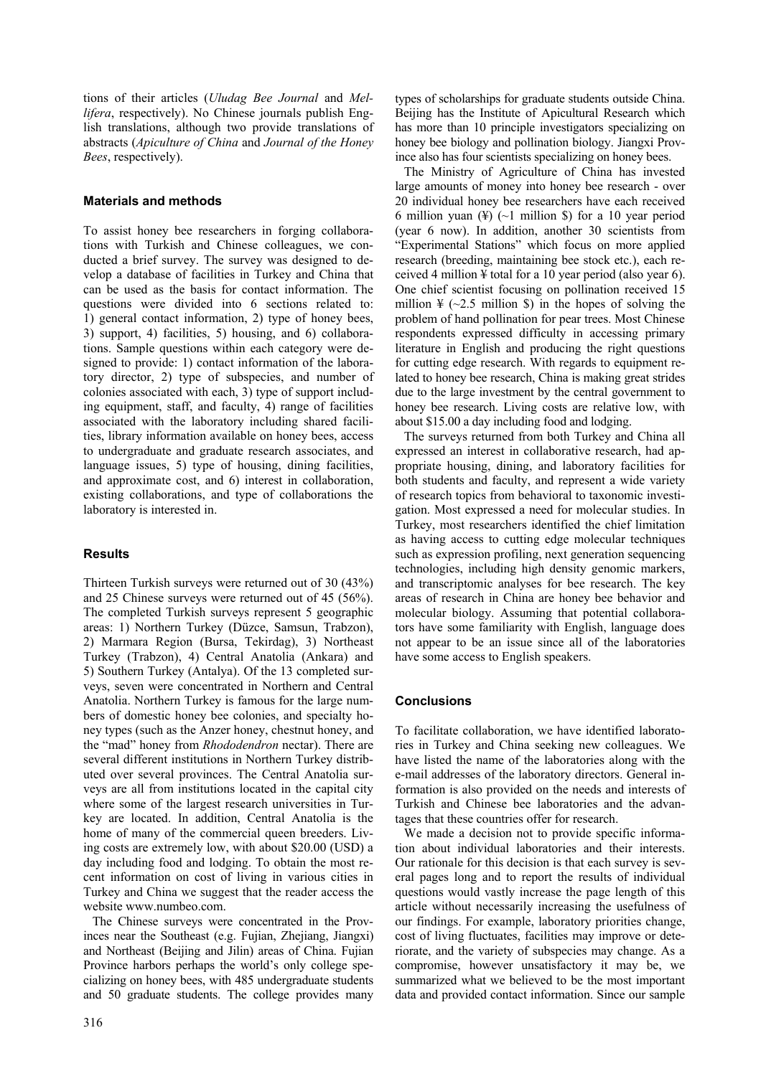tions of their articles (*Uludag Bee Journal* and *Mellifera*, respectively). No Chinese journals publish English translations, although two provide translations of abstracts (*Apiculture of China* and *Journal of the Honey Bees*, respectively).

## **Materials and methods**

To assist honey bee researchers in forging collaborations with Turkish and Chinese colleagues, we conducted a brief survey. The survey was designed to develop a database of facilities in Turkey and China that can be used as the basis for contact information. The questions were divided into 6 sections related to: 1) general contact information, 2) type of honey bees, 3) support, 4) facilities, 5) housing, and 6) collaborations. Sample questions within each category were designed to provide: 1) contact information of the laboratory director, 2) type of subspecies, and number of colonies associated with each, 3) type of support including equipment, staff, and faculty, 4) range of facilities associated with the laboratory including shared facilities, library information available on honey bees, access to undergraduate and graduate research associates, and language issues, 5) type of housing, dining facilities, and approximate cost, and 6) interest in collaboration, existing collaborations, and type of collaborations the laboratory is interested in.

# **Results**

Thirteen Turkish surveys were returned out of 30 (43%) and 25 Chinese surveys were returned out of 45 (56%). The completed Turkish surveys represent 5 geographic areas: 1) Northern Turkey (Düzce, Samsun, Trabzon), 2) Marmara Region (Bursa, Tekirdag), 3) Northeast Turkey (Trabzon), 4) Central Anatolia (Ankara) and 5) Southern Turkey (Antalya). Of the 13 completed surveys, seven were concentrated in Northern and Central Anatolia. Northern Turkey is famous for the large numbers of domestic honey bee colonies, and specialty honey types (such as the Anzer honey, chestnut honey, and the "mad" honey from *Rhododendron* nectar). There are several different institutions in Northern Turkey distributed over several provinces. The Central Anatolia surveys are all from institutions located in the capital city where some of the largest research universities in Turkey are located. In addition, Central Anatolia is the home of many of the commercial queen breeders. Living costs are extremely low, with about \$20.00 (USD) a day including food and lodging. To obtain the most recent information on cost of living in various cities in Turkey and China we suggest that the reader access the website www.numbeo.com.

The Chinese surveys were concentrated in the Provinces near the Southeast (e.g. Fujian, Zhejiang, Jiangxi) and Northeast (Beijing and Jilin) areas of China. Fujian Province harbors perhaps the world's only college specializing on honey bees, with 485 undergraduate students and 50 graduate students. The college provides many types of scholarships for graduate students outside China. Beijing has the Institute of Apicultural Research which has more than 10 principle investigators specializing on honey bee biology and pollination biology. Jiangxi Province also has four scientists specializing on honey bees.

The Ministry of Agriculture of China has invested large amounts of money into honey bee research - over 20 individual honey bee researchers have each received 6 million yuan  $(\frac{1}{2})$  (~1 million \$) for a 10 year period (year 6 now). In addition, another 30 scientists from "Experimental Stations" which focus on more applied research (breeding, maintaining bee stock etc.), each received 4 million ¥ total for a 10 year period (also year 6). One chief scientist focusing on pollination received 15 million  $\frac{1}{2}$  (~2.5 million \$) in the hopes of solving the problem of hand pollination for pear trees. Most Chinese respondents expressed difficulty in accessing primary literature in English and producing the right questions for cutting edge research. With regards to equipment related to honey bee research, China is making great strides due to the large investment by the central government to honey bee research. Living costs are relative low, with about \$15.00 a day including food and lodging.

The surveys returned from both Turkey and China all expressed an interest in collaborative research, had appropriate housing, dining, and laboratory facilities for both students and faculty, and represent a wide variety of research topics from behavioral to taxonomic investigation. Most expressed a need for molecular studies. In Turkey, most researchers identified the chief limitation as having access to cutting edge molecular techniques such as expression profiling, next generation sequencing technologies, including high density genomic markers, and transcriptomic analyses for bee research. The key areas of research in China are honey bee behavior and molecular biology. Assuming that potential collaborators have some familiarity with English, language does not appear to be an issue since all of the laboratories have some access to English speakers.

## **Conclusions**

To facilitate collaboration, we have identified laboratories in Turkey and China seeking new colleagues. We have listed the name of the laboratories along with the e-mail addresses of the laboratory directors. General information is also provided on the needs and interests of Turkish and Chinese bee laboratories and the advantages that these countries offer for research.

We made a decision not to provide specific information about individual laboratories and their interests. Our rationale for this decision is that each survey is several pages long and to report the results of individual questions would vastly increase the page length of this article without necessarily increasing the usefulness of our findings. For example, laboratory priorities change, cost of living fluctuates, facilities may improve or deteriorate, and the variety of subspecies may change. As a compromise, however unsatisfactory it may be, we summarized what we believed to be the most important data and provided contact information. Since our sample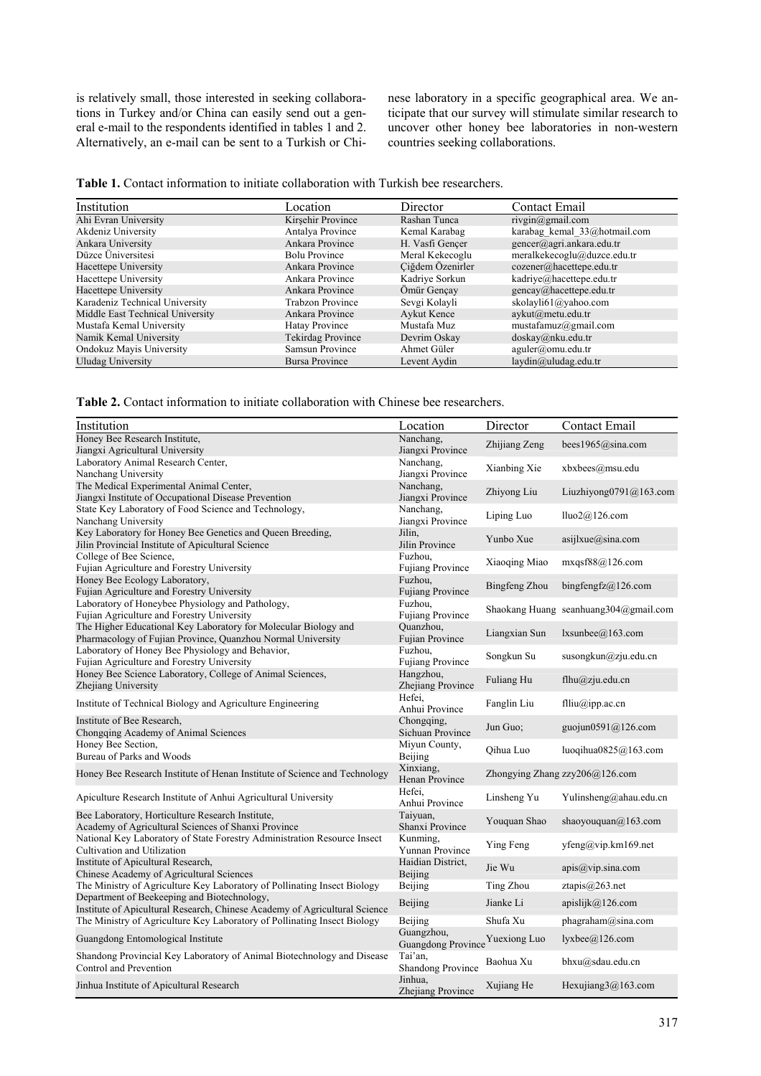is relatively small, those interested in seeking collaborations in Turkey and/or China can easily send out a general e-mail to the respondents identified in tables 1 and 2. Alternatively, an e-mail can be sent to a Turkish or Chinese laboratory in a specific geographical area. We anticipate that our survey will stimulate similar research to uncover other honey bee laboratories in non-western countries seeking collaborations.

|  |  |  |  |  |  |  |  |  | <b>Table 1.</b> Contact information to initiate collaboration with Turkish bee researchers. |
|--|--|--|--|--|--|--|--|--|---------------------------------------------------------------------------------------------|
|--|--|--|--|--|--|--|--|--|---------------------------------------------------------------------------------------------|

| Institution                      | Location                 | Director         | Contact Email                |
|----------------------------------|--------------------------|------------------|------------------------------|
| Ahi Evran University             | Kirsehir Province        | Rashan Tunca     | rivgin@gmail.com             |
| Akdeniz University               | Antalya Province         | Kemal Karabag    | karabag kemal 33@hotmail.com |
| Ankara University                | Ankara Province          | H. Vasfi Gencer  | gencer@agri.ankara.edu.tr    |
| Düzce Üniversitesi               | <b>Bolu Province</b>     | Meral Kekecoglu  | meralkekecoglu@duzce.edu.tr  |
| Hacettepe University             | Ankara Province          | Ciğdem Özenirler | cozener@hacettepe.edu.tr     |
| Hacettepe University             | Ankara Province          | Kadriye Sorkun   | kadriye@hacettepe.edu.tr     |
| Hacettepe University             | Ankara Province          | Ömür Gencay      | gencay@hacettepe.edu.tr      |
| Karadeniz Technical University   | <b>Trabzon Province</b>  | Sevgi Kolayli    | skolayli61@yahoo.com         |
| Middle East Technical University | Ankara Province          | Aykut Kence      | aykut@metu.edu.tr            |
| Mustafa Kemal University         | Hatay Province           | Mustafa Muz      | mustafamuz@gmail.com         |
| Namik Kemal University           | <b>Tekirdag Province</b> | Devrim Oskay     | $d$ oskay@nku.edu.tr         |
| Ondokuz Mayis University         | Samsun Province          | Ahmet Güler      | aguler@omu.edu.tr            |
| Uludag University                | Bursa Province           | Levent Aydin     | laydin@uludag.edu.tr         |

**Table 2.** Contact information to initiate collaboration with Chinese bee researchers.

| Institution                                                                 | Location                        | Director      | Contact Email                         |
|-----------------------------------------------------------------------------|---------------------------------|---------------|---------------------------------------|
| Honey Bee Research Institute,                                               | Nanchang,                       | Zhijiang Zeng | bees1965@sina.com                     |
| Jiangxi Agricultural University                                             | Jiangxi Province                |               |                                       |
| Laboratory Animal Research Center,                                          | Nanchang,                       | Xianbing Xie  | xbxbees@msu.edu                       |
| Nanchang University                                                         | Jiangxi Province                |               |                                       |
| The Medical Experimental Animal Center,                                     | Nanchang,                       | Zhiyong Liu   | Liuzhiyong0791@163.com                |
| Jiangxi Institute of Occupational Disease Prevention                        | Jiangxi Province                |               |                                       |
| State Key Laboratory of Food Science and Technology,<br>Nanchang University | Nanchang,<br>Jiangxi Province   | Liping Luo    | lluo2@126.com                         |
| Key Laboratory for Honey Bee Genetics and Queen Breeding,                   | Jilin,                          |               |                                       |
| Jilin Provincial Institute of Apicultural Science                           | Jilin Province                  | Yunbo Xue     | asijlxue@sina.com                     |
| College of Bee Science,                                                     | Fuzhou,                         |               |                                       |
| Fujian Agriculture and Forestry University                                  | <b>Fujiang Province</b>         | Xiaoqing Miao | mxqsf88@126.com                       |
| Honey Bee Ecology Laboratory,                                               | Fuzhou,                         |               |                                       |
| Fujian Agriculture and Forestry University                                  | <b>Fujiang Province</b>         | Bingfeng Zhou | bingfengfz@126.com                    |
| Laboratory of Honeybee Physiology and Pathology,                            | Fuzhou,                         |               |                                       |
| Fujian Agriculture and Forestry University                                  | <b>Fujiang Province</b>         |               | Shaokang Huang seanhuang304@gmail.com |
| The Higher Educational Key Laboratory for Molecular Biology and             | Quanzhou,                       |               |                                       |
| Pharmacology of Fujian Province, Quanzhou Normal University                 | Fujian Province                 | Liangxian Sun | lxsunbee@163.com                      |
| Laboratory of Honey Bee Physiology and Behavior,                            | Fuzhou.                         | Songkun Su    | susongkun@zju.edu.cn                  |
| Fujian Agriculture and Forestry University                                  | <b>Fujiang Province</b>         |               |                                       |
| Honey Bee Science Laboratory, College of Animal Sciences,                   | Hangzhou,                       | Fuliang Hu    | flhu@zju.edu.cn                       |
| Zhejiang University                                                         | Zhejiang Province               |               |                                       |
| Institute of Technical Biology and Agriculture Engineering                  | Hefei.                          | Fanglin Liu   | flliu@ipp.ac.cn                       |
|                                                                             | Anhui Province                  |               |                                       |
| Institute of Bee Research,                                                  | Chongging,                      | Jun Guo:      | guojun0591@126.com                    |
| Chongqing Academy of Animal Sciences                                        | Sichuan Province                |               |                                       |
| Honey Bee Section,                                                          | Miyun County,                   | Qihua Luo     | luoqihua0825@163.com                  |
| Bureau of Parks and Woods                                                   | Beijing                         |               |                                       |
| Honey Bee Research Institute of Henan Institute of Science and Technology   | Xinxiang,<br>Henan Province     |               | Zhongying Zhang zzy206@126.com        |
|                                                                             | Hefei,                          |               |                                       |
| Apiculture Research Institute of Anhui Agricultural University              | Anhui Province                  | Linsheng Yu   | Yulinsheng@ahau.edu.cn                |
| Bee Laboratory, Horticulture Research Institute,                            | Taiyuan,                        |               |                                       |
| Academy of Agricultural Sciences of Shanxi Province                         | Shanxi Province                 | Youquan Shao  | shaoyouquan $(a)$ 163.com             |
| National Key Laboratory of State Forestry Administration Resource Insect    | Kunming,                        |               |                                       |
| Cultivation and Utilization                                                 | Yunnan Province                 | Ying Feng     | $y$ feng $@$ vip.km169.net            |
| Institute of Apicultural Research,                                          | Haidian District,               |               |                                       |
| Chinese Academy of Agricultural Sciences                                    | Beijing                         | Jie Wu        | apis@vip.sina.com                     |
| The Ministry of Agriculture Key Laboratory of Pollinating Insect Biology    | Beijing                         | Ting Zhou     | ztapis@263.net                        |
| Department of Beekeeping and Biotechnology,                                 | Beijing                         | Jianke Li     | apislijk $@126$ .com                  |
| Institute of Apicultural Research, Chinese Academy of Agricultural Science  |                                 |               |                                       |
| The Ministry of Agriculture Key Laboratory of Pollinating Insect Biology    | Beijing                         | Shufa Xu      | phagraham@sina.com                    |
| Guangdong Entomological Institute                                           | Guangzhou,                      |               | lyxbee@126.com                        |
|                                                                             | Guangdong Province Yuexiong Luo |               |                                       |
| Shandong Provincial Key Laboratory of Animal Biotechnology and Disease      | Tai'an,                         | Baohua Xu     | bhxu@sdau.edu.cn                      |
| Control and Prevention                                                      | Shandong Province               |               |                                       |
| Jinhua Institute of Apicultural Research                                    | Jinhua,<br>Zhejiang Province    | Xujiang He    | Hexujiang $3@163$ .com                |